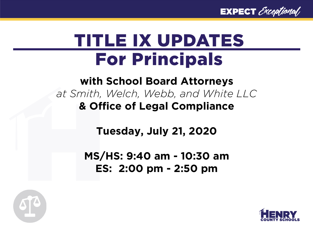**EXPECT** Exceptional

### TITLE IX UPDATES For Principals

### **with School Board Attorneys**  *at Smith, Welch, Webb, and White LLC* **& Office of Legal Compliance**

**Tuesday, July 21, 2020**

**MS/HS: 9:40 am - 10:30 am ES: 2:00 pm - 2:50 pm**



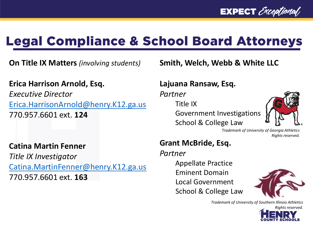### Legal Compliance & School Board Attorneys

**On Title IX Matters** *(involving students)*

#### **Erica Harrison Arnold, Esq.**

*Executive Director* [Erica.HarrisonArnold@henry.K12.ga.us](mailto:Erica.HarrisonArnold@henry.K12.ga.us) 770.957.6601 ext. **124**

#### **Catina Martin Fenner**

*Title IX Investigator* [Catina.MartinFenner@henry.K12.ga.us](mailto:Catina.MartinFenner@henry.K12.ga.us) 770.957.6601 ext. **163**

**Smith, Welch, Webb & White LLC**

#### **Lajuana Ransaw, Esq.**

*Partner*

Title IX

Government Investigations School & College Law



*Trademark of University of Georgia Athletics Rights reserved.*

#### **Grant McBride, Esq.**

#### *Partner*

Appellate Practice Eminent Domain Local Government School & College Law



*Trademark of University of Southern Illinois Athletics*

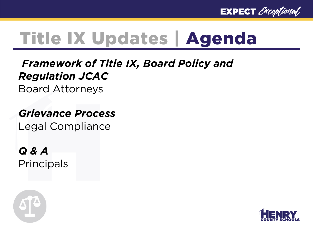

# Title IX Updates | Agenda

### *Framework of Title IX, Board Policy and Regulation JCAC*

Board Attorneys

#### *Grievance Process* Legal Compliance

*Q & A* **Principals** 



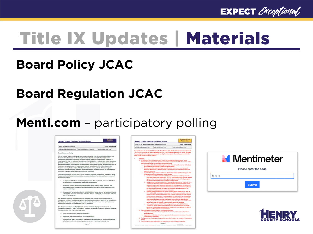

# Title IX Updates | Materials

REGULATION

Status: Under Bevier

### **Board Policy JCAC**

### **Board Regulation JCAC**

### **Menti.com** – participatory polling

|                                                                                                                                                                                                                                                                                                                                                                                                                                                                                                                                                                                                                                                                                                                                                                                                                                                                                                                             |                              |                                                                                                                                                                                                                                                                                                                                                                                                                                                                                                                                                                                                                                                                                                                | Code: JCAC Sexual Harassment Grievance Process                                                                                                                                                                                                                                                                         |                                                                                                                                                                                                                                                                                                                                                                                                                                                                                                                                                                                                                                                                                                  |  |
|-----------------------------------------------------------------------------------------------------------------------------------------------------------------------------------------------------------------------------------------------------------------------------------------------------------------------------------------------------------------------------------------------------------------------------------------------------------------------------------------------------------------------------------------------------------------------------------------------------------------------------------------------------------------------------------------------------------------------------------------------------------------------------------------------------------------------------------------------------------------------------------------------------------------------------|------------------------------|----------------------------------------------------------------------------------------------------------------------------------------------------------------------------------------------------------------------------------------------------------------------------------------------------------------------------------------------------------------------------------------------------------------------------------------------------------------------------------------------------------------------------------------------------------------------------------------------------------------------------------------------------------------------------------------------------------------|------------------------------------------------------------------------------------------------------------------------------------------------------------------------------------------------------------------------------------------------------------------------------------------------------------------------|--------------------------------------------------------------------------------------------------------------------------------------------------------------------------------------------------------------------------------------------------------------------------------------------------------------------------------------------------------------------------------------------------------------------------------------------------------------------------------------------------------------------------------------------------------------------------------------------------------------------------------------------------------------------------------------------------|--|
|                                                                                                                                                                                                                                                                                                                                                                                                                                                                                                                                                                                                                                                                                                                                                                                                                                                                                                                             |                              |                                                                                                                                                                                                                                                                                                                                                                                                                                                                                                                                                                                                                                                                                                                | Original Adopted Date: new                                                                                                                                                                                                                                                                                             | Last Revised Date: new                                                                                                                                                                                                                                                                                                                                                                                                                                                                                                                                                                                                                                                                           |  |
| <b>JCAC: Sexual Harassment</b><br>Original Adopted Date: 2/1/1995<br>Sexual Haraconvent Policy<br>It is the policy of Board to maintain an environment that is free from all forms of discrimination and,<br>harassment on the basic of sex. The Henry County Board of Education (the "Board") does not<br>discriminate on the basis of sex in the education program or activity that it operates. The Board is<br>[34 C.F.R. § 106.8] not to discriminate in such a manner. The requirement not to discriminate in the<br>Title IX and its regulations to the Board may be referred to the Board's Title IX Coordinators, the<br>Assistant Secretary for Civil Rights of the Department of Education, or both. Retaliation against<br>complaints of alleged sexual haracsment is expressly prohibited.<br>the following criteria:                                                                                          | Last Revised Date: 6/10/2013 | Status: Under Review<br>Last Reviewed Date: TBD<br>required by Title IX of the Education Amendments of 1972 (20 U.S.C. § 1681, et seq.) and its regulations<br>education program or activity extends to admission and employment, inquiries about the application of<br>individuals who file complaints of alleged sexual harassment or those who assist in the investigation of<br>It shall be a violation of this ICAC policy for any student or employee of the District to engage in sexual<br>harassment. Sexual harassment is defined as conduct on the basis of sex that satisfies one or more of<br>1. An employee of the Board conditioning the provision of an aid, benefit, or service of the Board | Pursuant to Henry County Board of Education (the "Board") Polic<br>1972 (30 U.S.C. § 1681, et seg.) and its nigulations (34 C.F.R. § 10<br>hereby adopts the following grievance process for handling form<br>Henry County School District (the "District").<br>$\mathbb{R}$<br>Defenitions<br>program or activity, or | A. As outlined in Policy JCAC and defined in Title II, the<br>harassment" for purposes of this grievance process.<br>hasis of sex that satisfies one or more of the followi<br>1. An amployee of the Board conditioning the p-<br>an an individual's participation in unwelcome.<br>2. Unweighte conduct determined by a resume<br>objectively offensive that it effectively denies.<br>1. Any of the following ac defined in federal law.<br>the defeations within this regulation to compl<br>a sexual assault as defined in the Clery Act<br>Policy and Campus Grene Statistics Act",<br>against another person, forcibly and/or a<br>the person's will when the victim is incig              |  |
| on an individual's participation in unwelcome sexual conduct;<br>2. Unwelcome conduct determined by a reasonable person to be so severe, pervasive, and<br>objectively offensive that it effectively denies a person equal access to the Board's education<br>program or activity; or<br>1. "Sexual assault" as defined in 20 U.S.C. 1093(f)(6)(A)(v), "dating violence" as defined in 34 U.S.C.<br>12291(a)(10), "domestic violence" as defined in 34 U.S.C. 12291(a)(8), or "stalking" as defined in<br>34 U.S.C. 12291(a)(30).<br>Any student or employee who believes that he or she has been exposed to sexual harassment or<br>retaliation in the Board's education program or activity should immediately report the act to the Board's<br>Title IX Coordinators. Any employee that is on actual notice of sexual harassment or retaliation must<br>immediately report the act to the Board's Title IX Coordinators. |                              |                                                                                                                                                                                                                                                                                                                                                                                                                                                                                                                                                                                                                                                                                                                |                                                                                                                                                                                                                                                                                                                        | h. dating victories as defined in the VAWA<br>12291(x)[10]: Any act of visience comm<br>relationship of a romantic or interade na<br>such a relationship shall be determined to<br>the largth of the relationship; the type is<br>interaction of the persons involved in the<br>c. domestic violence as defined in the VAW<br>U.S.C. 12291(a)(R); Any fallony or misder<br>former goods or intimate partner of the<br>child in convenor, a person who is cohabi<br>the victim as a spouse or intimate partne<br>victim under the domestic or family viole<br>monies, or, any other person against an-<br>person's acts under the domestic or fam-<br>d. stalking as defined in the VAWA ("Violen |  |
| Any student or employee has the right to file a formal complaint alleging sexual harassment or<br>retaliation to the Board's Title IX Coordinators. The Board has adopted a grievance process to address all<br>formal complaints filed. That grievance process:<br>1. Treats complainants and respondents equitably.<br>2. Requires an objective evaluation of all relevant evidence.<br>3. Assures that all Title IX Coordinators, investigators, decision-makers, or any person designated.<br>to facilitate an informal resolution process do not have a conflict of interest or bias.<br>Page 1 of 3                                                                                                                                                                                                                                                                                                                   |                              |                                                                                                                                                                                                                                                                                                                                                                                                                                                                                                                                                                                                                                                                                                                | personal.                                                                                                                                                                                                                                                                                                              | 12291(a)(30): May be defined as engage<br>person that would cause a reasonable pe<br>others, or suffer substantial emotional d<br>8. The following are considered "parties" to this grieve<br>1. Complainant: an individual who is alleged to b<br>sexual harassment.<br>2. Respondent: an individual who has been rapid<br>constitute sexual haracoment.<br>C. The Superintendent including any designeeds) is real<br>[1] The following have been designated in the respectiv<br>Page 1 of 7<br><b>Buch Foot offices on Property - Buckfoot a Res Property - Man Foot of</b>                                                                                                                   |  |



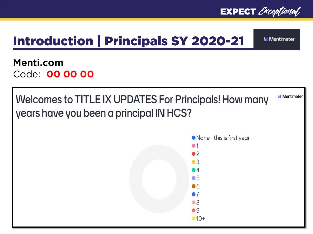

### Introduction | Principals SY 2020-21

**M** Mentimeter

#### **Menti.com** Code: **00 00 00**

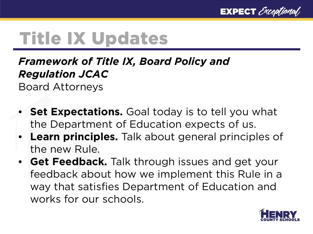

### *Framework of Title IX, Board Policy and Regulation JCAC*

Board Attorneys

- **Set Expectations.** Goal today is to tell you what the Department of Education expects of us.
- **Learn principles.** Talk about general principles of the new Rule.
- **Get Feedback.** Talk through issues and get your feedback about how we implement this Rule in a way that satisfies Department of Education and works for our schools.

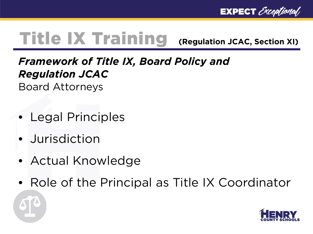**EXPECT** Exceptional

### Title IX Training **(Regulation JCAC, Section XI)**

### *Framework of Title IX, Board Policy and Regulation JCAC*

Board Attorneys

- Legal Principles
- Jurisdiction
- Actual Knowledge
- Role of the Principal as Title IX Coordinator

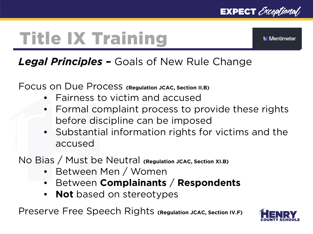



### *Legal Principles –* Goals of New Rule Change

Focus on Due Process **(Regulation JCAC, Section II.B)**

- Fairness to victim and accused
- Formal complaint process to provide these rights before discipline can be imposed
- Substantial information rights for victims and the accused

No Bias / Must be Neutral **(Regulation JCAC, Section XI.B)**

- Between Men / Women
- Between **Complainants** / **Respondents**
- **Not** based on stereotypes

Preserve Free Speech Rights **(Regulation JCAC, Section IV.F)**

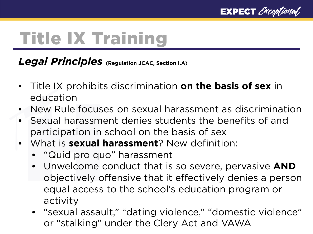

*Legal Principles* **(Regulation JCAC, Section I.A)**

- Title IX prohibits discrimination **on the basis of sex** in education
- New Rule focuses on sexual harassment as discrimination
- Sexual harassment denies students the benefits of and participation in school on the basis of sex
- What is **sexual harassment**? New definition:
	- "Quid pro quo" harassment
	- Unwelcome conduct that is so severe, pervasive **AND** objectively offensive that it effectively denies a person equal access to the school's education program or activity
	- "sexual assault," "dating violence," "domestic violence" or "stalking" under the Clery Act and VAWA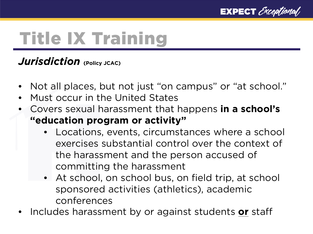

#### *Jurisdiction* **(Policy JCAC)**

- Not all places, but not just "on campus" or "at school."
- Must occur in the United States
- Covers sexual harassment that happens **in a school's "education program or activity"**
	- Locations, events, circumstances where a school exercises substantial control over the context of the harassment and the person accused of committing the harassment
	- At school, on school bus, on field trip, at school sponsored activities (athletics), academic conferences
- Includes harassment by or against students **or** staff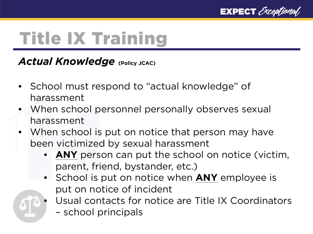

#### *Actual Knowledge* (Policy JCAC)

- School must respond to "actual knowledge" of harassment
- When school personnel personally observes sexual harassment
- When school is put on notice that person may have been victimized by sexual harassment
	- ANY person can put the school on notice (victim, parent, friend, bystander, etc.)
	- School is put on notice when **ANY** employee is put on notice of incident
	- Usual contacts for notice are Title IX Coordinators – school principals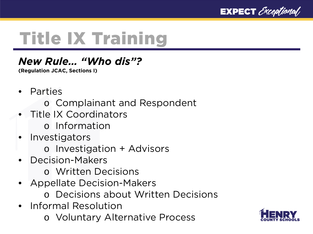

#### *New Rule… "Who dis"?*

**(Regulation JCAC, Sections I)**

- **Parties** 
	- o Complainant and Respondent
- Title IX Coordinators
	- o Information
- **Investigators** 
	- o Investigation + Advisors
- Decision-Makers
	- o Written Decisions
- Appellate Decision-Makers
	- o Decisions about Written Decisions
- Informal Resolution
	- o Voluntary Alternative Process

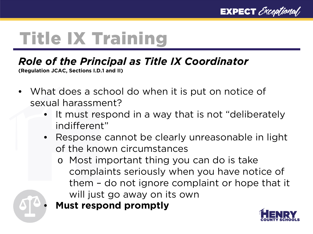

#### *Role of the Principal as Title IX Coordinator*

**(Regulation JCAC, Sections I.D.1 and II)**

- What does a school do when it is put on notice of sexual harassment?
	- It must respond in a way that is not "deliberately" indifferent"
	- Response cannot be clearly unreasonable in light of the known circumstances
		- o Most important thing you can do is take complaints seriously when you have notice of them – do not ignore complaint or hope that it will just go away on its own
		- **Must respond promptly**

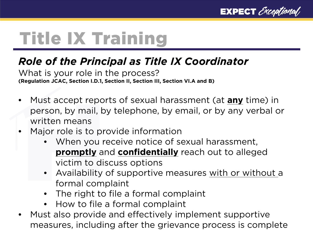

#### *Role of the Principal as Title IX Coordinator*

What is your role in the process? **(Regulation JCAC, Section I.D.1, Section II, Section III, Section VI.A and B)**

- Must accept reports of sexual harassment (at **any** time) in person, by mail, by telephone, by email, or by any verbal or written means
- Major role is to provide information
	- When you receive notice of sexual harassment, **promptly** and **confidentially** reach out to alleged victim to discuss options
	- Availability of supportive measures with or without a formal complaint
	- The right to file a formal complaint
	- How to file a formal complaint
- Must also provide and effectively implement supportive measures, including after the grievance process is complete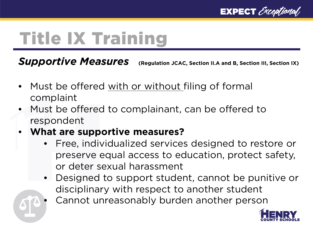

**Supportive Measures** (Regulation JCAC, Section II.A and B, Section III, Section IX)

- Must be offered with or without filing of formal complaint
- Must be offered to complainant, can be offered to respondent
- **What are supportive measures?**
	- Free, individualized services designed to restore or preserve equal access to education, protect safety, or deter sexual harassment
	- Designed to support student, cannot be punitive or disciplinary with respect to another student
		- Cannot unreasonably burden another person

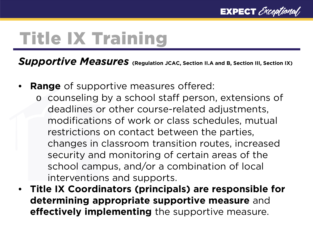

**Supportive Measures** (Regulation JCAC, Section II.A and B, Section III, Section IX)

- **Range** of supportive measures offered:
	- o counseling by a school staff person, extensions of deadlines or other course-related adjustments, modifications of work or class schedules, mutual restrictions on contact between the parties, changes in classroom transition routes, increased security and monitoring of certain areas of the school campus, and/or a combination of local interventions and supports.
- **Title IX Coordinators (principals) are responsible for determining appropriate supportive measure** and **effectively implementing** the supportive measure.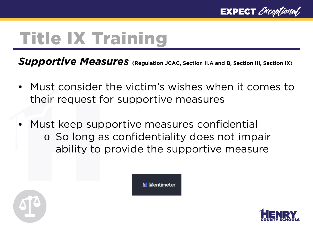

**Supportive Measures** (Regulation JCAC, Section II.A and B, Section III, Section IX)

• Must consider the victim's wishes when it comes to their request for supportive measures

**M** Mentimeter

• Must keep supportive measures confidential o So long as confidentiality does not impair ability to provide the supportive measure



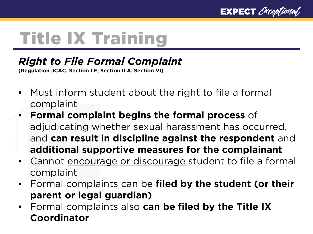

### *Right to File Formal Complaint*

**(Regulation JCAC, Section I.F, Section II.A, Section VI)**

- Must inform student about the right to file a formal complaint
- **Formal complaint begins the formal process** of adjudicating whether sexual harassment has occurred, and **can result in discipline against the respondent** and **additional supportive measures for the complainant**
- Cannot encourage or discourage student to file a formal complaint
- Formal complaints can be **filed by the student (or their parent or legal guardian)**
- Formal complaints also **can be filed by the Title IX Coordinator**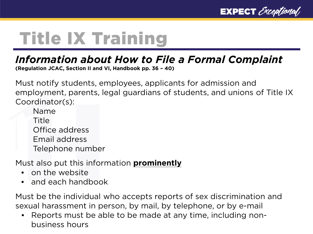

### *Information about How to File a Formal Complaint*

**(Regulation JCAC, Section II and VI, Handbook pp. 36 – 40)**

Must notify students, employees, applicants for admission and employment, parents, legal guardians of students, and unions of Title IX Coordinator(s):

Name Title Office address Email address Telephone number

Must also put this information **prominently**

- on the website
- and each handbook

Must be the individual who accepts reports of sex discrimination and sexual harassment in person, by mail, by telephone, or by e-mail

• Reports must be able to be made at any time, including nonbusiness hours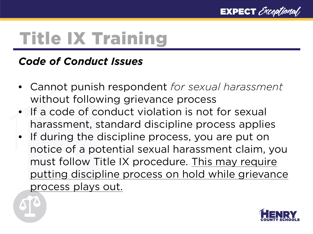

#### *Code of Conduct Issues*

- Cannot punish respondent *for sexual harassment* without following grievance process
- If a code of conduct violation is not for sexual harassment, standard discipline process applies
- If during the discipline process, you are put on notice of a potential sexual harassment claim, you must follow Title IX procedure. This may require putting discipline process on hold while grievance process plays out.

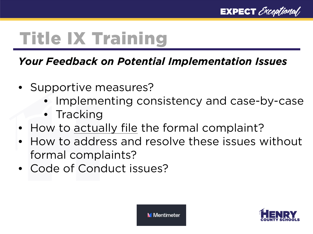

#### *Your Feedback on Potential Implementation Issues*

- Supportive measures?
	- Implementing consistency and case-by-case
	- Tracking
- How to actually file the formal complaint?
- How to address and resolve these issues without formal complaints?
- Code of Conduct issues?

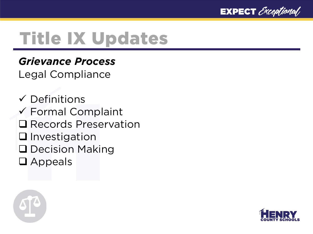

#### *Grievance Process*

Legal Compliance

 $\checkmark$  Definitions Formal Complaint **□ Records Preservation Q**Investigation **Q** Decision Making **Q** Appeals



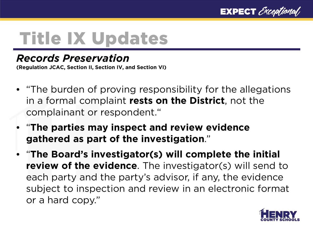

#### *Records Preservation*

**(Regulation JCAC, Section II, Section IV, and Section VI)**

- "The burden of proving responsibility for the allegations in a formal complaint **rests on the District**, not the complainant or respondent."
- "**The parties may inspect and review evidence gathered as part of the investigation**."
- "**The Board's investigator(s) will complete the initial review of the evidence**. The investigator(s) will send to each party and the party's advisor, if any, the evidence subject to inspection and review in an electronic format or a hard copy."

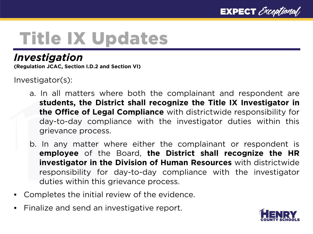

#### *Investigation*

**(Regulation JCAC, Section I.D.2 and Section VI)**

Investigator(s):

- a. In all matters where both the complainant and respondent are **students, the District shall recognize the Title IX Investigator in the Office of Legal Compliance** with districtwide responsibility for day-to-day compliance with the investigator duties within this grievance process.
- b. In any matter where either the complainant or respondent is **employee** of the Board, **the District shall recognize the HR investigator in the Division of Human Resources** with districtwide responsibility for day-to-day compliance with the investigator duties within this grievance process.
- Completes the initial review of the evidence.
- Finalize and send an investigative report.

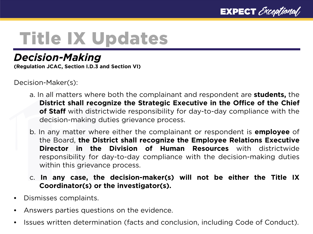

### *Decision-Making*

**(Regulation JCAC, Section I.D.3 and Section VI)**

Decision-Maker(s):

- a. In all matters where both the complainant and respondent are **students,** the **District shall recognize the Strategic Executive in the Office of the Chief of Staff** with districtwide responsibility for day-to-day compliance with the decision-making duties grievance process.
- b. In any matter where either the complainant or respondent is **employee** of the Board, **the District shall recognize the Employee Relations Executive Director in the Division of Human Resources** with districtwide responsibility for day-to-day compliance with the decision-making duties within this grievance process.
- c. **In any case, the decision-maker(s) will not be either the Title IX Coordinator(s) or the investigator(s).**
- Dismisses complaints.
- Answers parties questions on the evidence.
- Issues written determination (facts and conclusion, including Code of Conduct).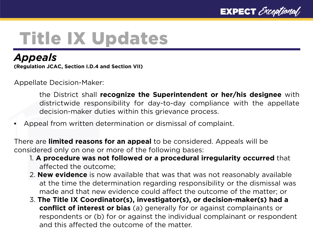

#### *Appeals*

**(Regulation JCAC, Section I.D.4 and Section VII)**

Appellate Decision-Maker:

the District shall **recognize the Superintendent or her/his designee** with districtwide responsibility for day-to-day compliance with the appellate decision-maker duties within this grievance process.

Appeal from written determination or dismissal of complaint.

There are **limited reasons for an appeal** to be considered. Appeals will be considered only on one or more of the following bases:

- 1. **A procedure was not followed or a procedural irregularity occurred** that affected the outcome;
- 2. **New evidence** is now available that was that was not reasonably available at the time the determination regarding responsibility or the dismissal was made and that new evidence could affect the outcome of the matter; or
- 3. **The Title IX Coordinator(s), investigator(s), or decision-maker(s) had a conflict of interest or bias** (a) generally for or against complainants or respondents or (b) for or against the individual complainant or respondent and this affected the outcome of the matter.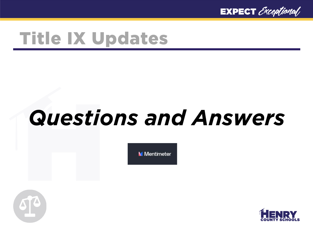

# *Questions and Answers*

**M** Mentimeter



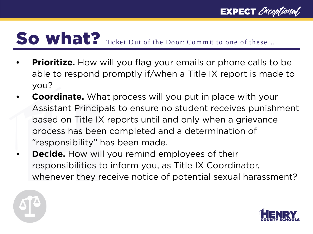## So what? Ticket Out of the Door: Commit to one of these...

- **Prioritize.** How will you flag your emails or phone calls to be able to respond promptly if/when a Title IX report is made to you?
- **Coordinate.** What process will you put in place with your Assistant Principals to ensure no student receives punishment based on Title IX reports until and only when a grievance process has been completed and a determination of "responsibility" has been made.
- **Decide.** How will you remind employees of their responsibilities to inform you, as Title IX Coordinator, whenever they receive notice of potential sexual harassment?